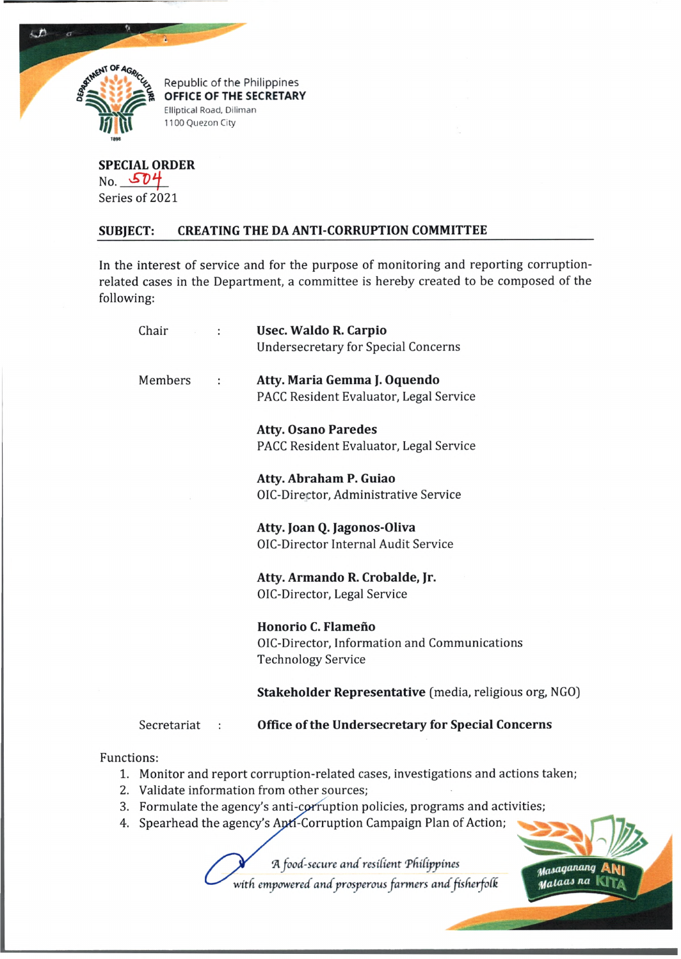

 $\Delta$ 

à

*%* Republic of the Philippines **OFFICE OF THE SECRETARY** Elliptical Road, Diliman 1100 Quezon City

**SPECIAL ORDER** No. 504 Series of 2021

## **SUBJECT: CREATING THE DA ANTI-CORRUPTION COMMITTEE**

In the interest of service and for the purpose of monitoring and reporting corruptionrelated cases in the Department, a committee is hereby created to be composed of the following:

|            | Chair<br>$-12$                                                                    |          | Usec. Waldo R. Carpio                                  |
|------------|-----------------------------------------------------------------------------------|----------|--------------------------------------------------------|
|            |                                                                                   |          | <b>Undersecretary for Special Concerns</b>             |
|            | Members                                                                           | $\cdot$  | Atty. Maria Gemma J. Oquendo                           |
|            |                                                                                   |          | PACC Resident Evaluator, Legal Service                 |
|            |                                                                                   |          | <b>Atty. Osano Paredes</b>                             |
|            |                                                                                   |          | PACC Resident Evaluator, Legal Service                 |
|            |                                                                                   |          | Atty. Abraham P. Guiao                                 |
|            |                                                                                   |          | OIC-Director, Administrative Service                   |
|            |                                                                                   |          | Atty. Joan Q. Jagonos-Oliva                            |
|            |                                                                                   |          | <b>OIC-Director Internal Audit Service</b>             |
|            |                                                                                   |          | Atty. Armando R. Crobalde, Jr.                         |
|            |                                                                                   |          | OIC-Director, Legal Service                            |
|            |                                                                                   |          | Honorio C. Flameño                                     |
|            |                                                                                   |          | OIC-Director, Information and Communications           |
|            |                                                                                   |          | <b>Technology Service</b>                              |
|            |                                                                                   |          | Stakeholder Representative (media, religious org, NGO) |
|            | Secretariat                                                                       | $\sim$ : | Office of the Undersecretary for Special Concerns      |
| Functions: |                                                                                   |          |                                                        |
|            | 1. Monitor and report corruption-related cases, investigations and actions taken; |          |                                                        |
|            | 2. Validate information from other sources;                                       |          |                                                        |
|            | 3. Formulate the agency's anti-corruption policies, programs and activities;      |          |                                                        |

4. Spearhead the agency's Apti-Corruption Campaign Plan of Action;

*A food-secure and resilient 'Phifijrpines*

*with empowered andprosperous farmers and fisfierfelk*

*^ aSaqananq* ANi Malaas na